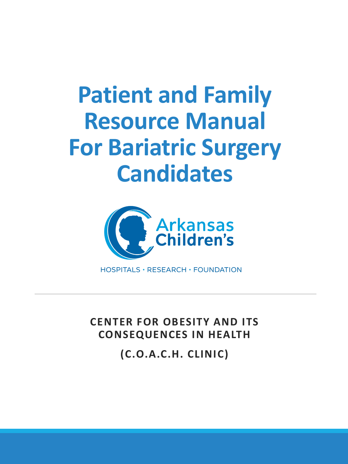## **Patient and Family Resource Manual For Bariatric Surgery Candidates**



HOSPITALS · RESEARCH · FOUNDATION

**CENTER FOR OBESITY AND ITS CONSEQUENCES IN HEALTH** 

**(C.O.A.C.H. CLINIC)**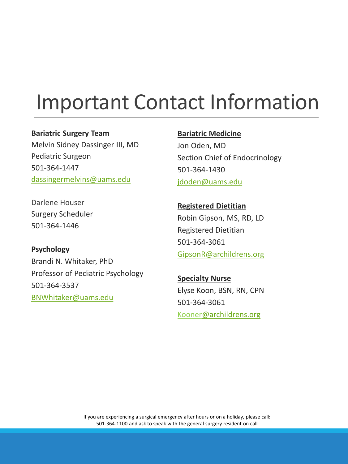## Important Contact Information

### **Bariatric Surgery Team**

Melvin Sidney Dassinger III, MD Pediatric Surgeon 501-364-1447 [dassingermelvins@uams.edu](mailto:dassingermelvins@uams.edu)

#### **Bariatric Medicine**

Jon Oden, MD Section Chief of Endocrinology 501-364-1430 [jdoden@uams.edu](mailto:jdoden@uams.edu)

Darlene Houser Surgery Scheduler 501-364-1446

## **Psychology**

Brandi N. Whitaker, PhD Professor of Pediatric Psychology 501-364-3537 [BNWhitaker@uams.edu](mailto:BNWhitaker@uams.edu)

**Registered Dietitian** Robin Gipson, MS, RD, LD Registered Dietitian 501-364-3061 [GipsonR@archildrens.org](mailto:GipsonR@archildrens.org)

**Specialty Nurse** Elyse Koon, BSN, RN, CPN 501-364-3061 Koone[r@archildrens.org](mailto:GipsonR@archildrens.org)

If you are experiencing a surgical emergency after hours or on a holiday, please call: 501-364-1100 and ask to speak with the general surgery resident on call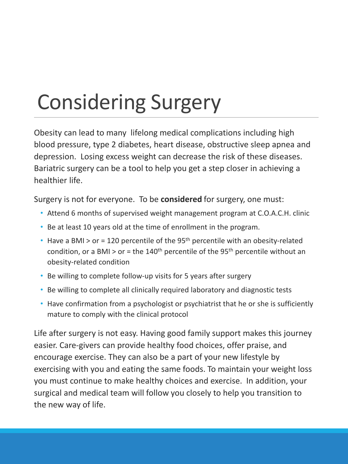# Considering Surgery

Obesity can lead to many lifelong medical complications including high blood pressure, type 2 diabetes, heart disease, obstructive sleep apnea and depression. Losing excess weight can decrease the risk of these diseases. Bariatric surgery can be a tool to help you get a step closer in achieving a healthier life.

Surgery is not for everyone. To be **considered** for surgery, one must:

- Attend 6 months of supervised weight management program at C.O.A.C.H. clinic
- Be at least 10 years old at the time of enrollment in the program.
- Have a BMI > or = 120 percentile of the 95<sup>th</sup> percentile with an obesity-related condition, or a BMI > or = the  $140<sup>th</sup>$  percentile of the 95<sup>th</sup> percentile without an obesity-related condition
- Be willing to complete follow-up visits for 5 years after surgery
- Be willing to complete all clinically required laboratory and diagnostic tests
- Have confirmation from a psychologist or psychiatrist that he or she is sufficiently mature to comply with the clinical protocol

Life after surgery is not easy. Having good family support makes this journey easier. Care-givers can provide healthy food choices, offer praise, and encourage exercise. They can also be a part of your new lifestyle by exercising with you and eating the same foods. To maintain your weight loss you must continue to make healthy choices and exercise. In addition, your surgical and medical team will follow you closely to help you transition to the new way of life.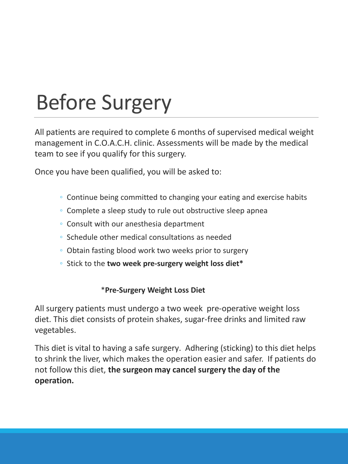## Before Surgery

All patients are required to complete 6 months of supervised medical weight management in C.O.A.C.H. clinic. Assessments will be made by the medical team to see if you qualify for this surgery.

Once you have been qualified, you will be asked to:

- Continue being committed to changing your eating and exercise habits
- Complete a sleep study to rule out obstructive sleep apnea
- Consult with our anesthesia department
- Schedule other medical consultations as needed
- Obtain fasting blood work two weeks prior to surgery
- Stick to the **two week pre-surgery weight loss diet\***

### \***Pre-Surgery Weight Loss Diet**

All surgery patients must undergo a two week pre-operative weight loss diet. This diet consists of protein shakes, sugar-free drinks and limited raw vegetables.

This diet is vital to having a safe surgery. Adhering (sticking) to this diet helps to shrink the liver, which makes the operation easier and safer. If patients do not follow this diet, **the surgeon may cancel surgery the day of the operation.**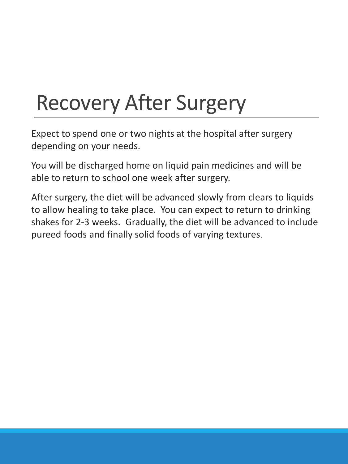## Recovery After Surgery

Expect to spend one or two nights at the hospital after surgery depending on your needs.

You will be discharged home on liquid pain medicines and will be able to return to school one week after surgery.

After surgery, the diet will be advanced slowly from clears to liquids to allow healing to take place. You can expect to return to drinking shakes for 2-3 weeks. Gradually, the diet will be advanced to include pureed foods and finally solid foods of varying textures.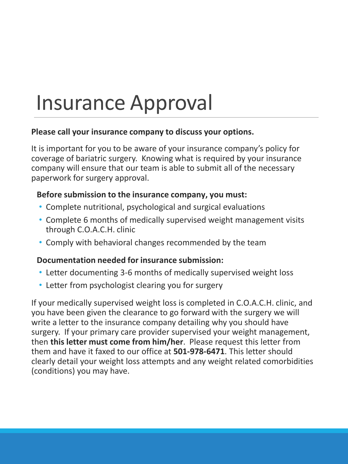## Insurance Approval

### **Please call your insurance company to discuss your options.**

It is important for you to be aware of your insurance company's policy for coverage of bariatric surgery. Knowing what is required by your insurance company will ensure that our team is able to submit all of the necessary paperwork for surgery approval.

### **Before submission to the insurance company, you must:**

- Complete nutritional, psychological and surgical evaluations
- Complete 6 months of medically supervised weight management visits through C.O.A.C.H. clinic
- Comply with behavioral changes recommended by the team

### **Documentation needed for insurance submission:**

- Letter documenting 3-6 months of medically supervised weight loss
- Letter from psychologist clearing you for surgery

If your medically supervised weight loss is completed in C.O.A.C.H. clinic, and you have been given the clearance to go forward with the surgery we will write a letter to the insurance company detailing why you should have surgery. If your primary care provider supervised your weight management, then **this letter must come from him/her**. Please request this letter from them and have it faxed to our office at **501-978-6471**. This letter should clearly detail your weight loss attempts and any weight related comorbidities (conditions) you may have.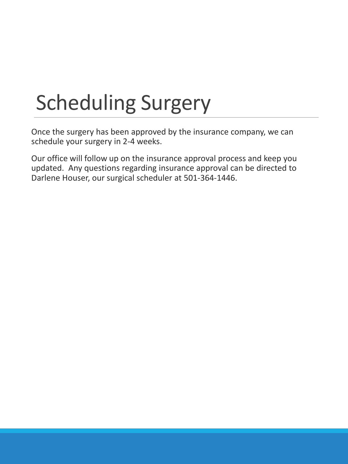## Scheduling Surgery

Once the surgery has been approved by the insurance company, we can schedule your surgery in 2-4 weeks.

Our office will follow up on the insurance approval process and keep you updated. Any questions regarding insurance approval can be directed to Darlene Houser, our surgical scheduler at 501-364-1446.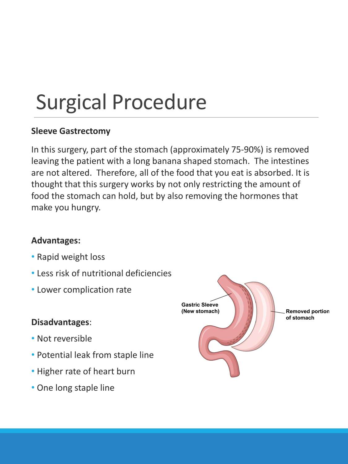## Surgical Procedure

### **Sleeve Gastrectomy**

In this surgery, part of the stomach (approximately 75-90%) is removed leaving the patient with a long banana shaped stomach. The intestines are not altered. Therefore, all of the food that you eat is absorbed. It is thought that this surgery works by not only restricting the amount of food the stomach can hold, but by also removing the hormones that make you hungry.

### **Advantages:**

- Rapid weight loss
- Less risk of nutritional deficiencies
- Lower complication rate

### **Disadvantages**:

- Not reversible
- Potential leak from staple line
- Higher rate of heart burn
- One long staple line

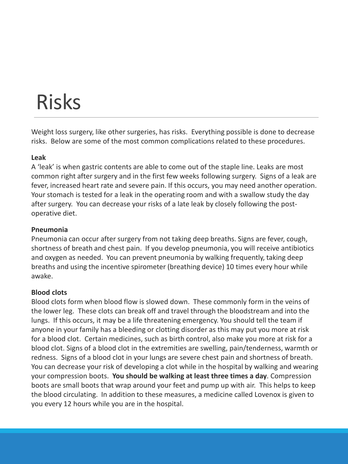## Risks

Weight loss surgery, like other surgeries, has risks. Everything possible is done to decrease risks. Below are some of the most common complications related to these procedures.

#### **Leak**

A 'leak' is when gastric contents are able to come out of the staple line. Leaks are most common right after surgery and in the first few weeks following surgery. Signs of a leak are fever, increased heart rate and severe pain. If this occurs, you may need another operation. Your stomach is tested for a leak in the operating room and with a swallow study the day after surgery. You can decrease your risks of a late leak by closely following the postoperative diet.

#### **Pneumonia**

Pneumonia can occur after surgery from not taking deep breaths. Signs are fever, cough, shortness of breath and chest pain. If you develop pneumonia, you will receive antibiotics and oxygen as needed. You can prevent pneumonia by walking frequently, taking deep breaths and using the incentive spirometer (breathing device) 10 times every hour while awake.

#### **Blood clots**

Blood clots form when blood flow is slowed down. These commonly form in the veins of the lower leg. These clots can break off and travel through the bloodstream and into the lungs. If this occurs, it may be a life threatening emergency. You should tell the team if anyone in your family has a bleeding or clotting disorder as this may put you more at risk for a blood clot. Certain medicines, such as birth control, also make you more at risk for a blood clot. Signs of a blood clot in the extremities are swelling, pain/tenderness, warmth or redness. Signs of a blood clot in your lungs are severe chest pain and shortness of breath. You can decrease your risk of developing a clot while in the hospital by walking and wearing your compression boots. **You should be walking at least three times a day**. Compression boots are small boots that wrap around your feet and pump up with air. This helps to keep the blood circulating. In addition to these measures, a medicine called Lovenox is given to you every 12 hours while you are in the hospital.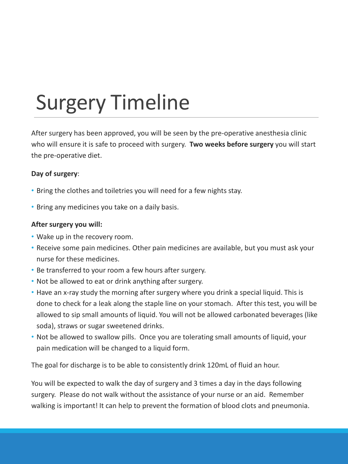## Surgery Timeline

After surgery has been approved, you will be seen by the pre-operative anesthesia clinic who will ensure it is safe to proceed with surgery. **Two weeks before surgery** you will start the pre-operative diet.

#### **Day of surgery**:

- Bring the clothes and toiletries you will need for a few nights stay.
- Bring any medicines you take on a daily basis.

#### **After surgery you will:**

- Wake up in the recovery room.
- Receive some pain medicines. Other pain medicines are available, but you must ask your nurse for these medicines.
- Be transferred to your room a few hours after surgery.
- Not be allowed to eat or drink anything after surgery.
- Have an x-ray study the morning after surgery where you drink a special liquid. This is done to check for a leak along the staple line on your stomach. After this test, you will be allowed to sip small amounts of liquid. You will not be allowed carbonated beverages (like soda), straws or sugar sweetened drinks.
- Not be allowed to swallow pills. Once you are tolerating small amounts of liquid, your pain medication will be changed to a liquid form.

The goal for discharge is to be able to consistently drink 120mL of fluid an hour.

You will be expected to walk the day of surgery and 3 times a day in the days following surgery. Please do not walk without the assistance of your nurse or an aid. Remember walking is important! It can help to prevent the formation of blood clots and pneumonia.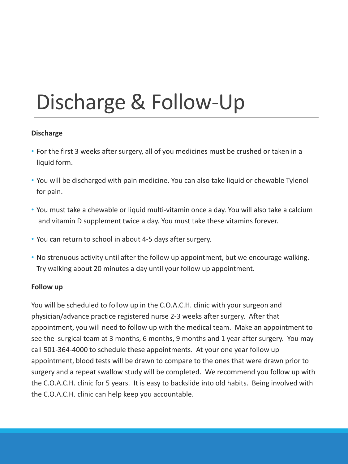## Discharge & Follow-Up

#### **Discharge**

- For the first 3 weeks after surgery, all of you medicines must be crushed or taken in a liquid form.
- You will be discharged with pain medicine. You can also take liquid or chewable Tylenol for pain.
- You must take a chewable or liquid multi-vitamin once a day. You will also take a calcium and vitamin D supplement twice a day. You must take these vitamins forever.
- You can return to school in about 4-5 days after surgery.
- No strenuous activity until after the follow up appointment, but we encourage walking. Try walking about 20 minutes a day until your follow up appointment.

#### **Follow up**

You will be scheduled to follow up in the C.O.A.C.H. clinic with your surgeon and physician/advance practice registered nurse 2-3 weeks after surgery. After that appointment, you will need to follow up with the medical team. Make an appointment to see the surgical team at 3 months, 6 months, 9 months and 1 year after surgery. You may call 501-364-4000 to schedule these appointments. At your one year follow up appointment, blood tests will be drawn to compare to the ones that were drawn prior to surgery and a repeat swallow study will be completed. We recommend you follow up with the C.O.A.C.H. clinic for 5 years. It is easy to backslide into old habits. Being involved with the C.O.A.C.H. clinic can help keep you accountable.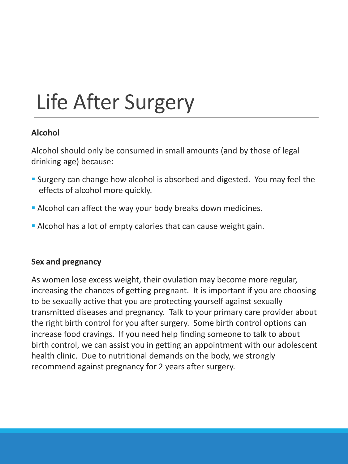# Life After Surgery

### **Alcohol**

Alcohol should only be consumed in small amounts (and by those of legal drinking age) because:

- **Surgery can change how alcohol is absorbed and digested. You may feel the** effects of alcohol more quickly.
- Alcohol can affect the way your body breaks down medicines.
- Alcohol has a lot of empty calories that can cause weight gain.

### **Sex and pregnancy**

As women lose excess weight, their ovulation may become more regular, increasing the chances of getting pregnant. It is important if you are choosing to be sexually active that you are protecting yourself against sexually transmitted diseases and pregnancy. Talk to your primary care provider about the right birth control for you after surgery. Some birth control options can increase food cravings. If you need help finding someone to talk to about birth control, we can assist you in getting an appointment with our adolescent health clinic. Due to nutritional demands on the body, we strongly recommend against pregnancy for 2 years after surgery.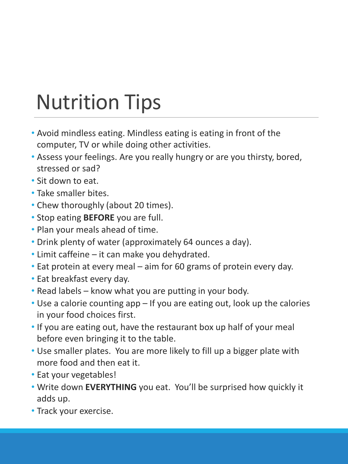## Nutrition Tips

- Avoid mindless eating. Mindless eating is eating in front of the computer, TV or while doing other activities.
- Assess your feelings. Are you really hungry or are you thirsty, bored, stressed or sad?
- Sit down to eat.
- Take smaller bites.
- Chew thoroughly (about 20 times).
- Stop eating **BEFORE** you are full.
- Plan your meals ahead of time.
- Drink plenty of water (approximately 64 ounces a day).
- Limit caffeine it can make you dehydrated.
- Eat protein at every meal aim for 60 grams of protein every day.
- Eat breakfast every day.
- Read labels know what you are putting in your body.
- Use a calorie counting app If you are eating out, look up the calories in your food choices first.
- If you are eating out, have the restaurant box up half of your meal before even bringing it to the table.
- Use smaller plates. You are more likely to fill up a bigger plate with more food and then eat it.
- Eat your vegetables!
- Write down **EVERYTHING** you eat. You'll be surprised how quickly it adds up.
- Track your exercise.